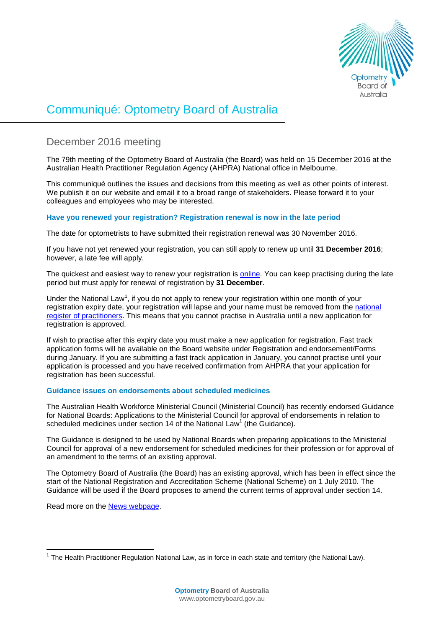

# Communiqué: Optometry Board of Australia

# December 2016 meeting

The 79th meeting of the Optometry Board of Australia (the Board) was held on 15 December 2016 at the Australian Health Practitioner Regulation Agency (AHPRA) National office in Melbourne.

This communiqué outlines the issues and decisions from this meeting as well as other points of interest. We publish it on our website and email it to a broad range of stakeholders. Please forward it to your colleagues and employees who may be interested.

# **Have you renewed your registration? Registration renewal is now in the late period**

The date for optometrists to have submitted their registration renewal was 30 November 2016.

If you have not yet renewed your registration, you can still apply to renew up until **31 December 2016**; however, a late fee will apply.

The quickest and easiest way to renew your registration is [online.](https://www.ahpra.gov.au/Login.aspx) You can keep practising during the late period but must apply for renewal of registration by **31 December**.

Under the National Law<sup>[1](#page-0-0)</sup>, if you do not apply to renew your registration within one month of your registration expiry date, your registration will lapse and your name must be removed from the [national](http://www.ahpra.gov.au/Registration/Registers-of-Practitioners.aspx)  [register of practitioners.](http://www.ahpra.gov.au/Registration/Registers-of-Practitioners.aspx) This means that you cannot practise in Australia until a new application for registration is approved.

If wish to practise after this expiry date you must make a new application for registration. Fast track application forms will be available on the Board website under Registration and endorsement/Forms during January. If you are submitting a fast track application in January, you cannot practise until your application is processed and you have received confirmation from AHPRA that your application for registration has been successful.

# **Guidance issues on endorsements about scheduled medicines**

The Australian Health Workforce Ministerial Council (Ministerial Council) has recently endorsed Guidance for National Boards: Applications to the Ministerial Council for approval of endorsements in relation to scheduled medicines under section 14 of the National Law<sup>1</sup> (the Guidance).

The Guidance is designed to be used by National Boards when preparing applications to the Ministerial Council for approval of a new endorsement for scheduled medicines for their profession or for approval of an amendment to the terms of an existing approval.

The Optometry Board of Australia (the Board) has an existing approval, which has been in effect since the start of the National Registration and Accreditation Scheme (National Scheme) on 1 July 2010. The Guidance will be used if the Board proposes to amend the current terms of approval under section 14.

Read more on the [News webpage.](http://www.optometryboard.gov.au/News/2016-12-13-guidance-issues-on-endorsements.aspx)

<span id="page-0-0"></span> $1$  The Health Practitioner Regulation National Law, as in force in each state and territory (the National Law).